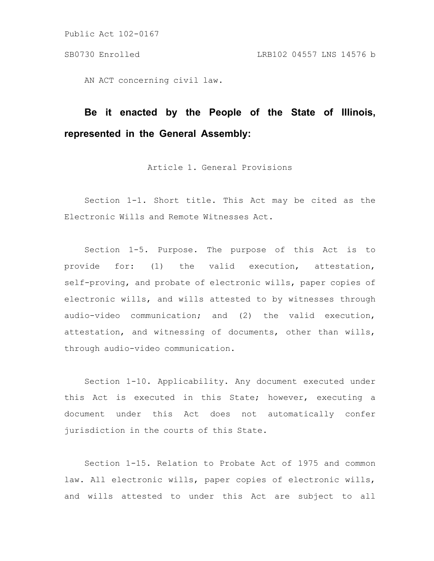AN ACT concerning civil law.

# **Be it enacted by the People of the State of Illinois, represented in the General Assembly:**

Article 1. General Provisions

Section 1-1. Short title. This Act may be cited as the Electronic Wills and Remote Witnesses Act.

Section 1-5. Purpose. The purpose of this Act is to provide for: (1) the valid execution, attestation, self-proving, and probate of electronic wills, paper copies of electronic wills, and wills attested to by witnesses through audio-video communication; and (2) the valid execution, attestation, and witnessing of documents, other than wills, through audio-video communication.

Section 1-10. Applicability. Any document executed under this Act is executed in this State; however, executing a document under this Act does not automatically confer jurisdiction in the courts of this State.

Section 1-15. Relation to Probate Act of 1975 and common law. All electronic wills, paper copies of electronic wills, and wills attested to under this Act are subject to all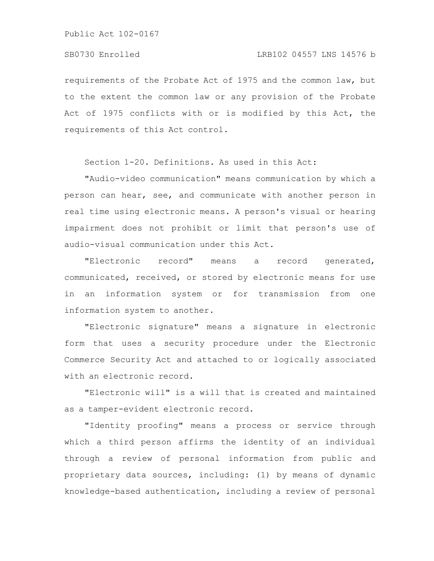requirements of the Probate Act of 1975 and the common law, but to the extent the common law or any provision of the Probate Act of 1975 conflicts with or is modified by this Act, the requirements of this Act control.

Section 1-20. Definitions. As used in this Act:

"Audio-video communication" means communication by which a person can hear, see, and communicate with another person in real time using electronic means. A person's visual or hearing impairment does not prohibit or limit that person's use of audio-visual communication under this Act.

"Electronic record" means a record generated, communicated, received, or stored by electronic means for use in an information system or for transmission from one information system to another.

"Electronic signature" means a signature in electronic form that uses a security procedure under the Electronic Commerce Security Act and attached to or logically associated with an electronic record.

"Electronic will" is a will that is created and maintained as a tamper-evident electronic record.

"Identity proofing" means a process or service through which a third person affirms the identity of an individual through a review of personal information from public and proprietary data sources, including: (1) by means of dynamic knowledge-based authentication, including a review of personal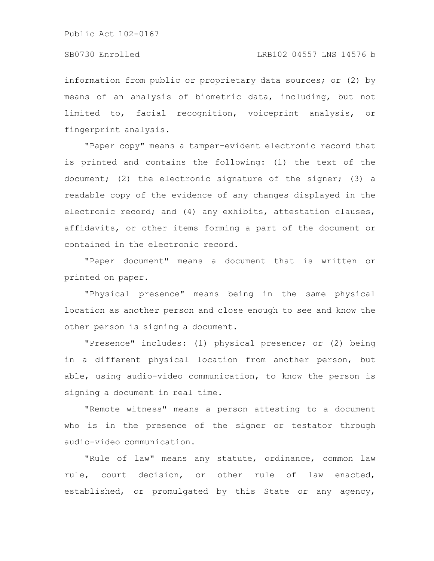information from public or proprietary data sources; or (2) by means of an analysis of biometric data, including, but not limited to, facial recognition, voiceprint analysis, or fingerprint analysis.

"Paper copy" means a tamper-evident electronic record that is printed and contains the following: (1) the text of the document; (2) the electronic signature of the signer; (3) a readable copy of the evidence of any changes displayed in the electronic record; and (4) any exhibits, attestation clauses, affidavits, or other items forming a part of the document or contained in the electronic record.

"Paper document" means a document that is written or printed on paper.

"Physical presence" means being in the same physical location as another person and close enough to see and know the other person is signing a document.

"Presence" includes: (1) physical presence; or (2) being in a different physical location from another person, but able, using audio-video communication, to know the person is signing a document in real time.

"Remote witness" means a person attesting to a document who is in the presence of the signer or testator through audio-video communication.

"Rule of law" means any statute, ordinance, common law rule, court decision, or other rule of law enacted, established, or promulgated by this State or any agency,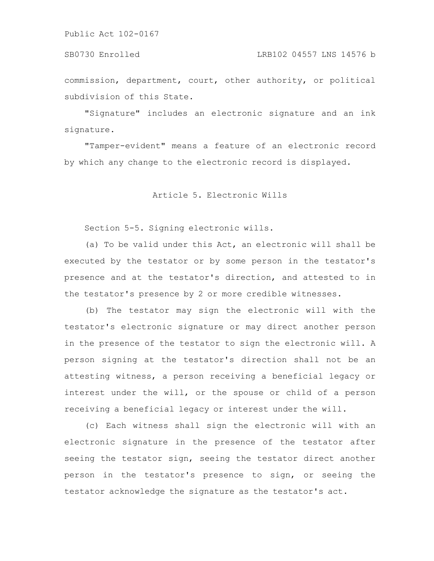SB0730 Enrolled LRB102 04557 LNS 14576 b

commission, department, court, other authority, or political subdivision of this State.

"Signature" includes an electronic signature and an ink signature.

"Tamper-evident" means a feature of an electronic record by which any change to the electronic record is displayed.

Article 5. Electronic Wills

Section 5-5. Signing electronic wills.

(a) To be valid under this Act, an electronic will shall be executed by the testator or by some person in the testator's presence and at the testator's direction, and attested to in the testator's presence by 2 or more credible witnesses.

(b) The testator may sign the electronic will with the testator's electronic signature or may direct another person in the presence of the testator to sign the electronic will. A person signing at the testator's direction shall not be an attesting witness, a person receiving a beneficial legacy or interest under the will, or the spouse or child of a person receiving a beneficial legacy or interest under the will.

(c) Each witness shall sign the electronic will with an electronic signature in the presence of the testator after seeing the testator sign, seeing the testator direct another person in the testator's presence to sign, or seeing the testator acknowledge the signature as the testator's act.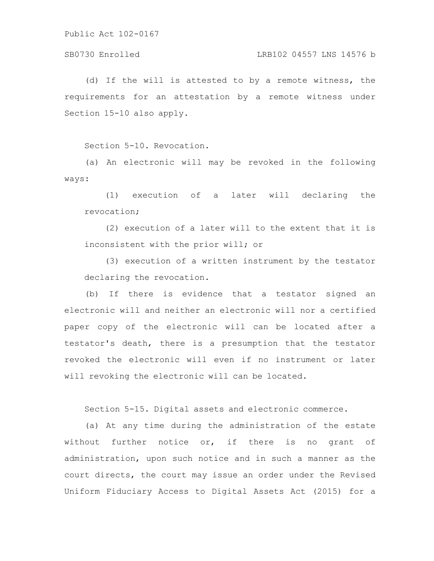# SB0730 Enrolled LRB102 04557 LNS 14576 b

(d) If the will is attested to by a remote witness, the requirements for an attestation by a remote witness under Section 15-10 also apply.

Section 5-10. Revocation.

(a) An electronic will may be revoked in the following ways:

(1) execution of a later will declaring the revocation;

(2) execution of a later will to the extent that it is inconsistent with the prior will; or

(3) execution of a written instrument by the testator declaring the revocation.

(b) If there is evidence that a testator signed an electronic will and neither an electronic will nor a certified paper copy of the electronic will can be located after a testator's death, there is a presumption that the testator revoked the electronic will even if no instrument or later will revoking the electronic will can be located.

Section 5-15. Digital assets and electronic commerce.

(a) At any time during the administration of the estate without further notice or, if there is no grant of administration, upon such notice and in such a manner as the court directs, the court may issue an order under the Revised Uniform Fiduciary Access to Digital Assets Act (2015) for a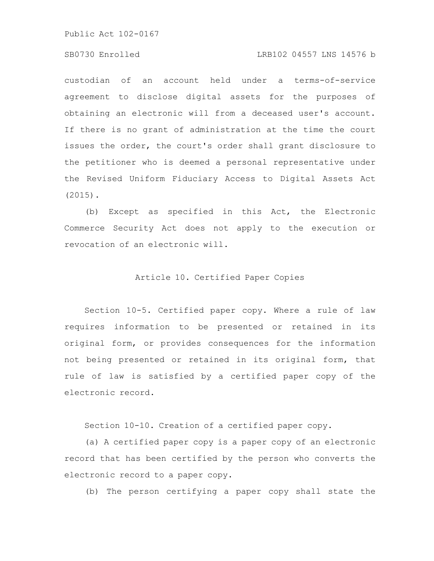# SB0730 Enrolled LRB102 04557 LNS 14576 b

custodian of an account held under a terms-of-service agreement to disclose digital assets for the purposes of obtaining an electronic will from a deceased user's account. If there is no grant of administration at the time the court issues the order, the court's order shall grant disclosure to the petitioner who is deemed a personal representative under the Revised Uniform Fiduciary Access to Digital Assets Act (2015).

(b) Except as specified in this Act, the Electronic Commerce Security Act does not apply to the execution or revocation of an electronic will.

# Article 10. Certified Paper Copies

Section 10-5. Certified paper copy. Where a rule of law requires information to be presented or retained in its original form, or provides consequences for the information not being presented or retained in its original form, that rule of law is satisfied by a certified paper copy of the electronic record.

Section 10-10. Creation of a certified paper copy.

(a) A certified paper copy is a paper copy of an electronic record that has been certified by the person who converts the electronic record to a paper copy.

(b) The person certifying a paper copy shall state the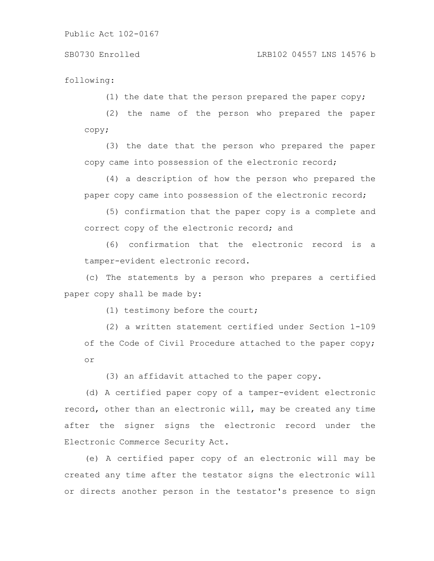following:

(1) the date that the person prepared the paper copy;

(2) the name of the person who prepared the paper copy;

(3) the date that the person who prepared the paper copy came into possession of the electronic record;

(4) a description of how the person who prepared the paper copy came into possession of the electronic record;

(5) confirmation that the paper copy is a complete and correct copy of the electronic record; and

(6) confirmation that the electronic record is a tamper-evident electronic record.

(c) The statements by a person who prepares a certified paper copy shall be made by:

(1) testimony before the court;

(2) a written statement certified under Section 1-109 of the Code of Civil Procedure attached to the paper copy; or

(3) an affidavit attached to the paper copy.

(d) A certified paper copy of a tamper-evident electronic record, other than an electronic will, may be created any time after the signer signs the electronic record under the Electronic Commerce Security Act.

(e) A certified paper copy of an electronic will may be created any time after the testator signs the electronic will or directs another person in the testator's presence to sign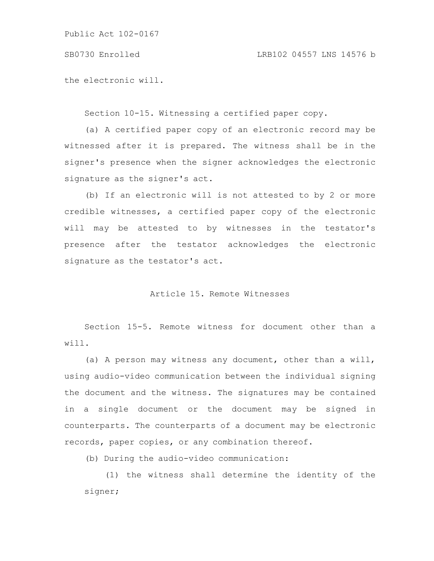SB0730 Enrolled LRB102 04557 LNS 14576 b

the electronic will.

Section 10-15. Witnessing a certified paper copy.

(a) A certified paper copy of an electronic record may be witnessed after it is prepared. The witness shall be in the signer's presence when the signer acknowledges the electronic signature as the signer's act.

(b) If an electronic will is not attested to by 2 or more credible witnesses, a certified paper copy of the electronic will may be attested to by witnesses in the testator's presence after the testator acknowledges the electronic signature as the testator's act.

# Article 15. Remote Witnesses

Section 15-5. Remote witness for document other than a will.

(a) A person may witness any document, other than a will, using audio-video communication between the individual signing the document and the witness. The signatures may be contained in a single document or the document may be signed in counterparts. The counterparts of a document may be electronic records, paper copies, or any combination thereof.

(b) During the audio-video communication:

(1) the witness shall determine the identity of the signer;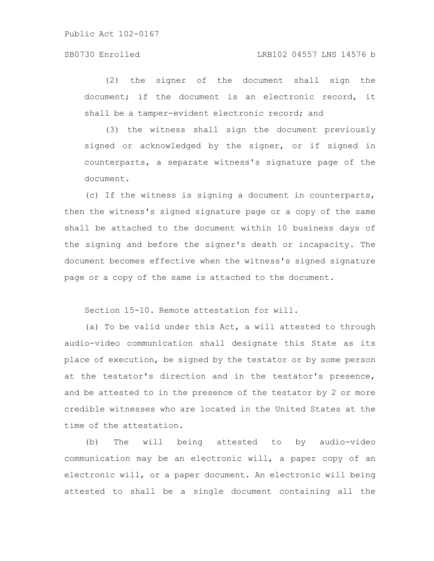# SB0730 Enrolled LRB102 04557 LNS 14576 b

(2) the signer of the document shall sign the document; if the document is an electronic record, it shall be a tamper-evident electronic record; and

(3) the witness shall sign the document previously signed or acknowledged by the signer, or if signed in counterparts, a separate witness's signature page of the document.

(c) If the witness is signing a document in counterparts, then the witness's signed signature page or a copy of the same shall be attached to the document within 10 business days of the signing and before the signer's death or incapacity. The document becomes effective when the witness's signed signature page or a copy of the same is attached to the document.

Section 15-10. Remote attestation for will.

(a) To be valid under this Act, a will attested to through audio-video communication shall designate this State as its place of execution, be signed by the testator or by some person at the testator's direction and in the testator's presence, and be attested to in the presence of the testator by 2 or more credible witnesses who are located in the United States at the time of the attestation.

(b) The will being attested to by audio-video communication may be an electronic will, a paper copy of an electronic will, or a paper document. An electronic will being attested to shall be a single document containing all the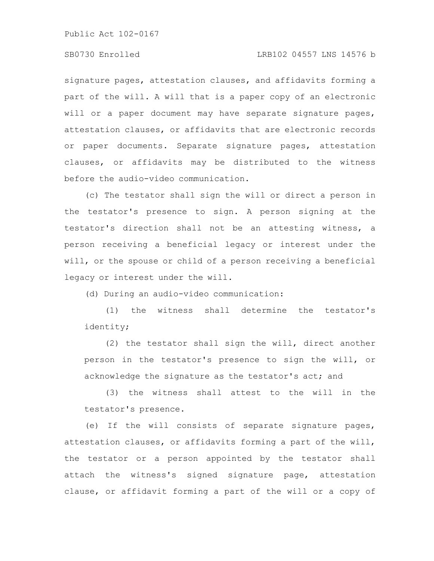# SB0730 Enrolled LRB102 04557 LNS 14576 b

signature pages, attestation clauses, and affidavits forming a part of the will. A will that is a paper copy of an electronic will or a paper document may have separate signature pages, attestation clauses, or affidavits that are electronic records or paper documents. Separate signature pages, attestation clauses, or affidavits may be distributed to the witness before the audio-video communication.

(c) The testator shall sign the will or direct a person in the testator's presence to sign. A person signing at the testator's direction shall not be an attesting witness, a person receiving a beneficial legacy or interest under the will, or the spouse or child of a person receiving a beneficial legacy or interest under the will.

(d) During an audio-video communication:

(1) the witness shall determine the testator's identity;

(2) the testator shall sign the will, direct another person in the testator's presence to sign the will, or acknowledge the signature as the testator's act; and

(3) the witness shall attest to the will in the testator's presence.

(e) If the will consists of separate signature pages, attestation clauses, or affidavits forming a part of the will, the testator or a person appointed by the testator shall attach the witness's signed signature page, attestation clause, or affidavit forming a part of the will or a copy of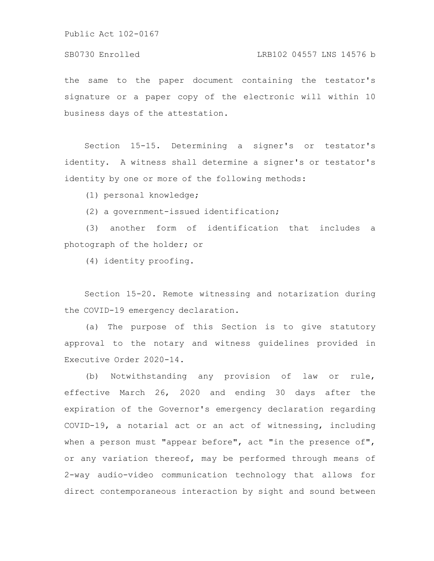# SB0730 Enrolled LRB102 04557 LNS 14576 b

the same to the paper document containing the testator's signature or a paper copy of the electronic will within 10 business days of the attestation.

Section 15-15. Determining a signer's or testator's identity. A witness shall determine a signer's or testator's identity by one or more of the following methods:

(1) personal knowledge;

(2) a government-issued identification;

(3) another form of identification that includes a photograph of the holder; or

(4) identity proofing.

Section 15-20. Remote witnessing and notarization during the COVID-19 emergency declaration.

(a) The purpose of this Section is to give statutory approval to the notary and witness guidelines provided in Executive Order 2020-14.

(b) Notwithstanding any provision of law or rule, effective March 26, 2020 and ending 30 days after the expiration of the Governor's emergency declaration regarding COVID-19, a notarial act or an act of witnessing, including when a person must "appear before", act "in the presence of", or any variation thereof, may be performed through means of 2-way audio-video communication technology that allows for direct contemporaneous interaction by sight and sound between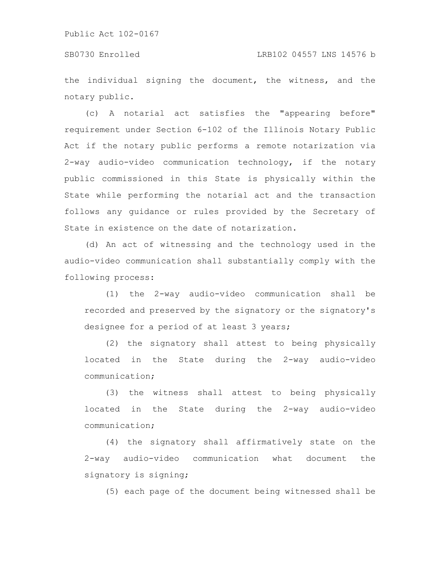the individual signing the document, the witness, and the notary public.

(c) A notarial act satisfies the "appearing before" requirement under Section 6-102 of the Illinois Notary Public Act if the notary public performs a remote notarization via 2-way audio-video communication technology, if the notary public commissioned in this State is physically within the State while performing the notarial act and the transaction follows any guidance or rules provided by the Secretary of State in existence on the date of notarization.

(d) An act of witnessing and the technology used in the audio-video communication shall substantially comply with the following process:

(1) the 2-way audio-video communication shall be recorded and preserved by the signatory or the signatory's designee for a period of at least 3 years;

(2) the signatory shall attest to being physically located in the State during the 2-way audio-video communication;

(3) the witness shall attest to being physically located in the State during the 2-way audio-video communication;

(4) the signatory shall affirmatively state on the 2-way audio-video communication what document the signatory is signing;

(5) each page of the document being witnessed shall be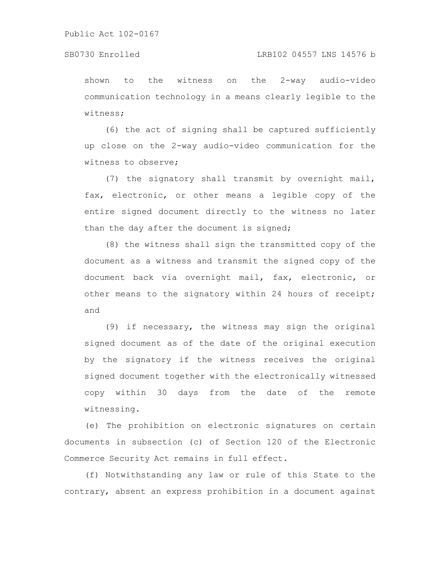# SB0730 Enrolled LRB102 04557 LNS 14576 b

shown to the witness on the 2-way audio-video communication technology in a means clearly legible to the witness;

(6) the act of signing shall be captured sufficiently up close on the 2-way audio-video communication for the witness to observe;

(7) the signatory shall transmit by overnight mail, fax, electronic, or other means a legible copy of the entire signed document directly to the witness no later than the day after the document is signed;

(8) the witness shall sign the transmitted copy of the document as a witness and transmit the signed copy of the document back via overnight mail, fax, electronic, or other means to the signatory within 24 hours of receipt; and

(9) if necessary, the witness may sign the original signed document as of the date of the original execution by the signatory if the witness receives the original signed document together with the electronically witnessed copy within 30 days from the date of the remote witnessing.

(e) The prohibition on electronic signatures on certain documents in subsection (c) of Section 120 of the Electronic Commerce Security Act remains in full effect.

(f) Notwithstanding any law or rule of this State to the contrary, absent an express prohibition in a document against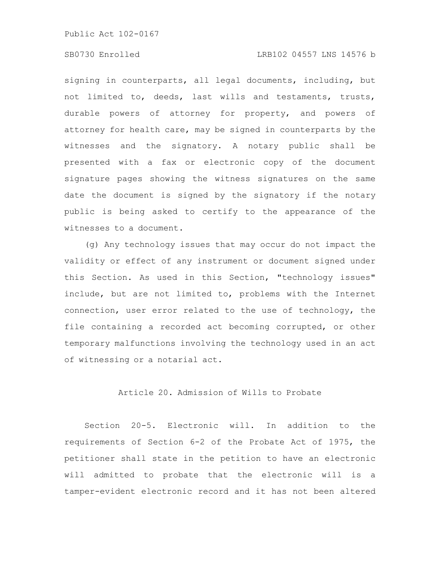# SB0730 Enrolled LRB102 04557 LNS 14576 b

signing in counterparts, all legal documents, including, but not limited to, deeds, last wills and testaments, trusts, durable powers of attorney for property, and powers of attorney for health care, may be signed in counterparts by the witnesses and the signatory. A notary public shall be presented with a fax or electronic copy of the document signature pages showing the witness signatures on the same date the document is signed by the signatory if the notary public is being asked to certify to the appearance of the witnesses to a document.

(g) Any technology issues that may occur do not impact the validity or effect of any instrument or document signed under this Section. As used in this Section, "technology issues" include, but are not limited to, problems with the Internet connection, user error related to the use of technology, the file containing a recorded act becoming corrupted, or other temporary malfunctions involving the technology used in an act of witnessing or a notarial act.

# Article 20. Admission of Wills to Probate

Section 20-5. Electronic will. In addition to the requirements of Section 6-2 of the Probate Act of 1975, the petitioner shall state in the petition to have an electronic will admitted to probate that the electronic will is a tamper-evident electronic record and it has not been altered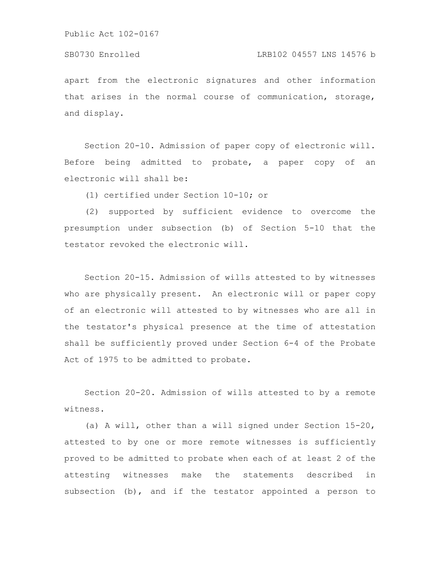apart from the electronic signatures and other information that arises in the normal course of communication, storage, and display.

Section 20-10. Admission of paper copy of electronic will. Before being admitted to probate, a paper copy of an electronic will shall be:

(1) certified under Section 10-10; or

(2) supported by sufficient evidence to overcome the presumption under subsection (b) of Section 5-10 that the testator revoked the electronic will.

Section 20-15. Admission of wills attested to by witnesses who are physically present. An electronic will or paper copy of an electronic will attested to by witnesses who are all in the testator's physical presence at the time of attestation shall be sufficiently proved under Section 6-4 of the Probate Act of 1975 to be admitted to probate.

Section 20-20. Admission of wills attested to by a remote witness.

(a) A will, other than a will signed under Section 15-20, attested to by one or more remote witnesses is sufficiently proved to be admitted to probate when each of at least 2 of the attesting witnesses make the statements described in subsection (b), and if the testator appointed a person to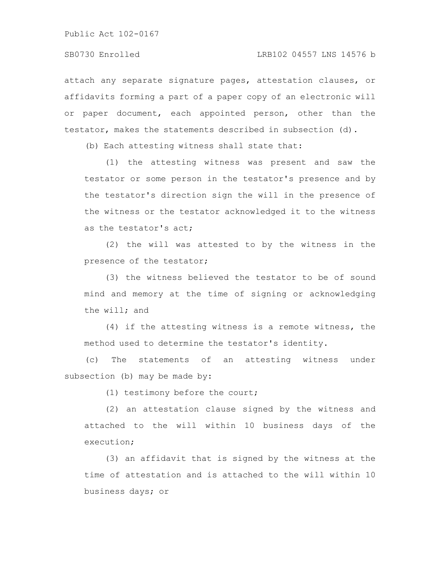attach any separate signature pages, attestation clauses, or affidavits forming a part of a paper copy of an electronic will or paper document, each appointed person, other than the testator, makes the statements described in subsection (d).

(b) Each attesting witness shall state that:

(1) the attesting witness was present and saw the testator or some person in the testator's presence and by the testator's direction sign the will in the presence of the witness or the testator acknowledged it to the witness as the testator's act;

(2) the will was attested to by the witness in the presence of the testator;

(3) the witness believed the testator to be of sound mind and memory at the time of signing or acknowledging the will; and

(4) if the attesting witness is a remote witness, the method used to determine the testator's identity.

(c) The statements of an attesting witness under subsection (b) may be made by:

(1) testimony before the court;

(2) an attestation clause signed by the witness and attached to the will within 10 business days of the execution;

(3) an affidavit that is signed by the witness at the time of attestation and is attached to the will within 10 business days; or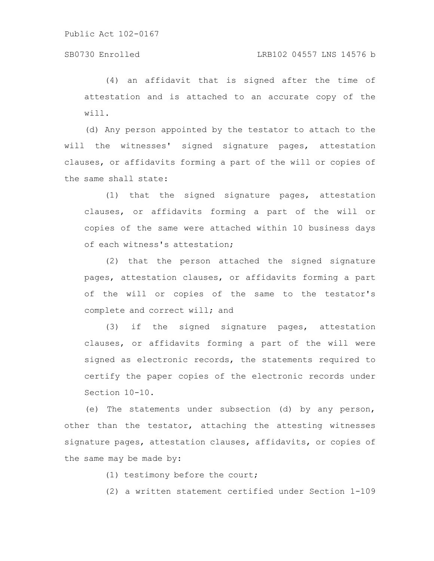# SB0730 Enrolled LRB102 04557 LNS 14576 b

(4) an affidavit that is signed after the time of attestation and is attached to an accurate copy of the will.

(d) Any person appointed by the testator to attach to the will the witnesses' signed signature pages, attestation clauses, or affidavits forming a part of the will or copies of the same shall state:

(1) that the signed signature pages, attestation clauses, or affidavits forming a part of the will or copies of the same were attached within 10 business days of each witness's attestation;

(2) that the person attached the signed signature pages, attestation clauses, or affidavits forming a part of the will or copies of the same to the testator's complete and correct will; and

(3) if the signed signature pages, attestation clauses, or affidavits forming a part of the will were signed as electronic records, the statements required to certify the paper copies of the electronic records under Section 10-10.

(e) The statements under subsection (d) by any person, other than the testator, attaching the attesting witnesses signature pages, attestation clauses, affidavits, or copies of the same may be made by:

(1) testimony before the court;

(2) a written statement certified under Section 1-109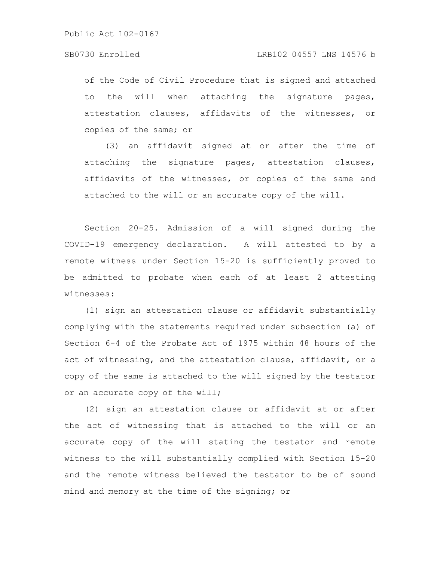of the Code of Civil Procedure that is signed and attached to the will when attaching the signature pages, attestation clauses, affidavits of the witnesses, or copies of the same; or

(3) an affidavit signed at or after the time of attaching the signature pages, attestation clauses, affidavits of the witnesses, or copies of the same and attached to the will or an accurate copy of the will.

Section 20-25. Admission of a will signed during the COVID-19 emergency declaration. A will attested to by a remote witness under Section 15-20 is sufficiently proved to be admitted to probate when each of at least 2 attesting witnesses:

(1) sign an attestation clause or affidavit substantially complying with the statements required under subsection (a) of Section 6-4 of the Probate Act of 1975 within 48 hours of the act of witnessing, and the attestation clause, affidavit, or a copy of the same is attached to the will signed by the testator or an accurate copy of the will;

(2) sign an attestation clause or affidavit at or after the act of witnessing that is attached to the will or an accurate copy of the will stating the testator and remote witness to the will substantially complied with Section 15-20 and the remote witness believed the testator to be of sound mind and memory at the time of the signing; or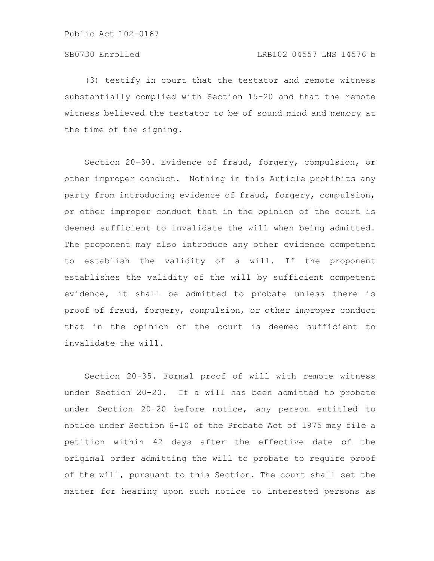(3) testify in court that the testator and remote witness substantially complied with Section 15-20 and that the remote witness believed the testator to be of sound mind and memory at the time of the signing.

Section 20-30. Evidence of fraud, forgery, compulsion, or other improper conduct. Nothing in this Article prohibits any party from introducing evidence of fraud, forgery, compulsion, or other improper conduct that in the opinion of the court is deemed sufficient to invalidate the will when being admitted. The proponent may also introduce any other evidence competent to establish the validity of a will. If the proponent establishes the validity of the will by sufficient competent evidence, it shall be admitted to probate unless there is proof of fraud, forgery, compulsion, or other improper conduct that in the opinion of the court is deemed sufficient to invalidate the will.

Section 20-35. Formal proof of will with remote witness under Section 20-20. If a will has been admitted to probate under Section 20-20 before notice, any person entitled to notice under Section 6-10 of the Probate Act of 1975 may file a petition within 42 days after the effective date of the original order admitting the will to probate to require proof of the will, pursuant to this Section. The court shall set the matter for hearing upon such notice to interested persons as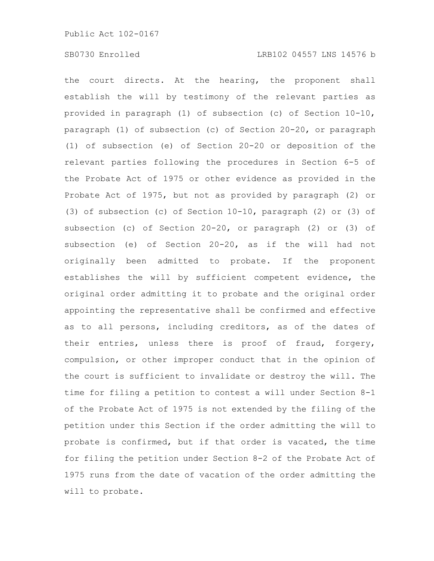the court directs. At the hearing, the proponent shall establish the will by testimony of the relevant parties as provided in paragraph (1) of subsection (c) of Section 10-10, paragraph (1) of subsection (c) of Section 20-20, or paragraph (1) of subsection (e) of Section 20-20 or deposition of the relevant parties following the procedures in Section 6-5 of the Probate Act of 1975 or other evidence as provided in the Probate Act of 1975, but not as provided by paragraph (2) or (3) of subsection (c) of Section 10-10, paragraph (2) or (3) of subsection (c) of Section 20-20, or paragraph (2) or (3) of subsection (e) of Section 20-20, as if the will had not originally been admitted to probate. If the proponent establishes the will by sufficient competent evidence, the original order admitting it to probate and the original order appointing the representative shall be confirmed and effective as to all persons, including creditors, as of the dates of their entries, unless there is proof of fraud, forgery, compulsion, or other improper conduct that in the opinion of the court is sufficient to invalidate or destroy the will. The time for filing a petition to contest a will under Section 8-1 of the Probate Act of 1975 is not extended by the filing of the petition under this Section if the order admitting the will to probate is confirmed, but if that order is vacated, the time for filing the petition under Section 8-2 of the Probate Act of 1975 runs from the date of vacation of the order admitting the will to probate.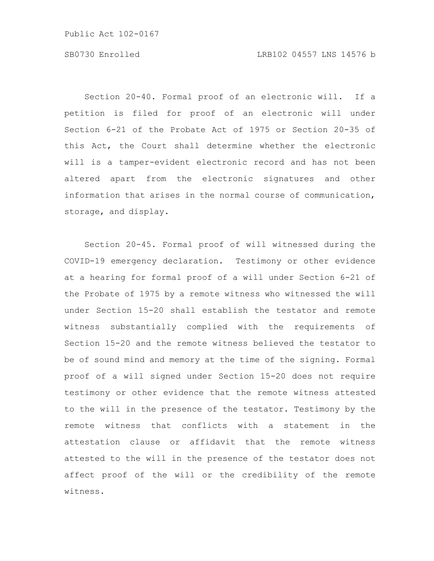Section 20-40. Formal proof of an electronic will. If a petition is filed for proof of an electronic will under Section 6-21 of the Probate Act of 1975 or Section 20-35 of this Act, the Court shall determine whether the electronic will is a tamper-evident electronic record and has not been altered apart from the electronic signatures and other information that arises in the normal course of communication, storage, and display.

Section 20-45. Formal proof of will witnessed during the COVID-19 emergency declaration. Testimony or other evidence at a hearing for formal proof of a will under Section 6-21 of the Probate of 1975 by a remote witness who witnessed the will under Section 15-20 shall establish the testator and remote witness substantially complied with the requirements of Section 15-20 and the remote witness believed the testator to be of sound mind and memory at the time of the signing. Formal proof of a will signed under Section 15-20 does not require testimony or other evidence that the remote witness attested to the will in the presence of the testator. Testimony by the remote witness that conflicts with a statement in the attestation clause or affidavit that the remote witness attested to the will in the presence of the testator does not affect proof of the will or the credibility of the remote witness.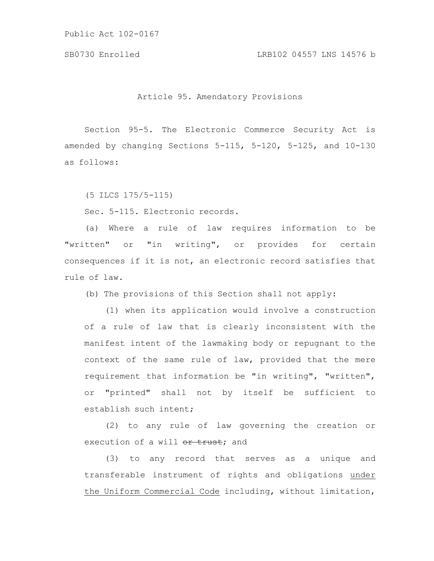SB0730 Enrolled LRB102 04557 LNS 14576 b

Article 95. Amendatory Provisions

Section 95-5. The Electronic Commerce Security Act is amended by changing Sections 5-115, 5-120, 5-125, and 10-130 as follows:

(5 ILCS 175/5-115)

Sec. 5-115. Electronic records.

(a) Where a rule of law requires information to be "written" or "in writing", or provides for certain consequences if it is not, an electronic record satisfies that rule of law.

(b) The provisions of this Section shall not apply:

(1) when its application would involve a construction of a rule of law that is clearly inconsistent with the manifest intent of the lawmaking body or repugnant to the context of the same rule of law, provided that the mere requirement that information be "in writing", "written", or "printed" shall not by itself be sufficient to establish such intent;

(2) to any rule of law governing the creation or execution of a will or trust; and

(3) to any record that serves as a unique and transferable instrument of rights and obligations under the Uniform Commercial Code including, without limitation,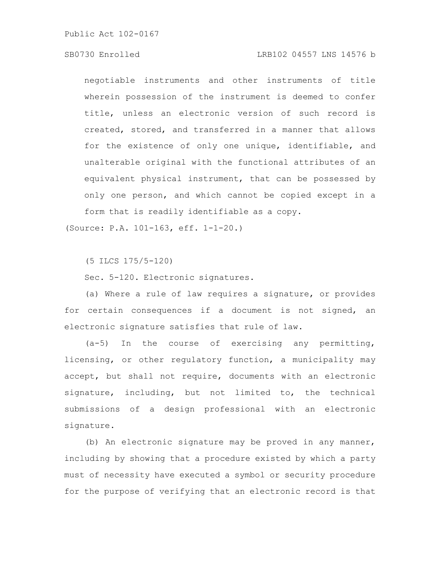# SB0730 Enrolled LRB102 04557 LNS 14576 b

negotiable instruments and other instruments of title wherein possession of the instrument is deemed to confer title, unless an electronic version of such record is created, stored, and transferred in a manner that allows for the existence of only one unique, identifiable, and unalterable original with the functional attributes of an equivalent physical instrument, that can be possessed by only one person, and which cannot be copied except in a form that is readily identifiable as a copy.

(Source: P.A. 101-163, eff. 1-1-20.)

(5 ILCS 175/5-120)

Sec. 5-120. Electronic signatures.

(a) Where a rule of law requires a signature, or provides for certain consequences if a document is not signed, an electronic signature satisfies that rule of law.

 $(a-5)$  In the course of exercising any permitting, licensing, or other regulatory function, a municipality may accept, but shall not require, documents with an electronic signature, including, but not limited to, the technical submissions of a design professional with an electronic signature.

(b) An electronic signature may be proved in any manner, including by showing that a procedure existed by which a party must of necessity have executed a symbol or security procedure for the purpose of verifying that an electronic record is that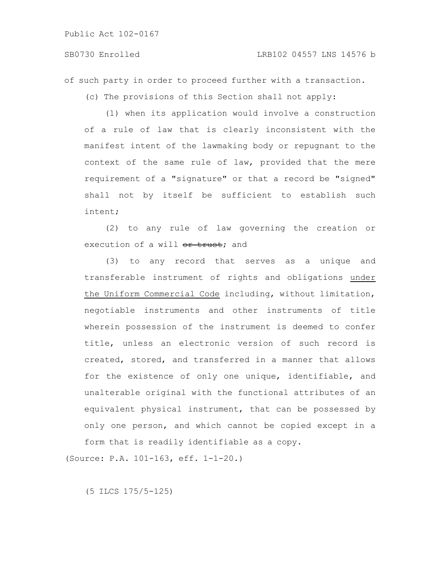# SB0730 Enrolled LRB102 04557 LNS 14576 b

of such party in order to proceed further with a transaction.

(c) The provisions of this Section shall not apply:

(1) when its application would involve a construction of a rule of law that is clearly inconsistent with the manifest intent of the lawmaking body or repugnant to the context of the same rule of law, provided that the mere requirement of a "signature" or that a record be "signed" shall not by itself be sufficient to establish such intent;

(2) to any rule of law governing the creation or execution of a will  $\theta$ r trust; and

(3) to any record that serves as a unique and transferable instrument of rights and obligations under the Uniform Commercial Code including, without limitation, negotiable instruments and other instruments of title wherein possession of the instrument is deemed to confer title, unless an electronic version of such record is created, stored, and transferred in a manner that allows for the existence of only one unique, identifiable, and unalterable original with the functional attributes of an equivalent physical instrument, that can be possessed by only one person, and which cannot be copied except in a form that is readily identifiable as a copy.

(Source: P.A. 101-163, eff. 1-1-20.)

(5 ILCS 175/5-125)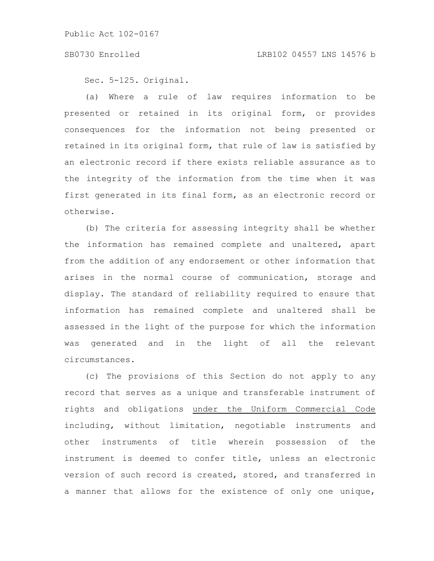### SB0730 Enrolled LRB102 04557 LNS 14576 b

Sec. 5-125. Original.

(a) Where a rule of law requires information to be presented or retained in its original form, or provides consequences for the information not being presented or retained in its original form, that rule of law is satisfied by an electronic record if there exists reliable assurance as to the integrity of the information from the time when it was first generated in its final form, as an electronic record or otherwise.

(b) The criteria for assessing integrity shall be whether the information has remained complete and unaltered, apart from the addition of any endorsement or other information that arises in the normal course of communication, storage and display. The standard of reliability required to ensure that information has remained complete and unaltered shall be assessed in the light of the purpose for which the information was generated and in the light of all the relevant circumstances.

(c) The provisions of this Section do not apply to any record that serves as a unique and transferable instrument of rights and obligations under the Uniform Commercial Code including, without limitation, negotiable instruments and other instruments of title wherein possession of the instrument is deemed to confer title, unless an electronic version of such record is created, stored, and transferred in a manner that allows for the existence of only one unique,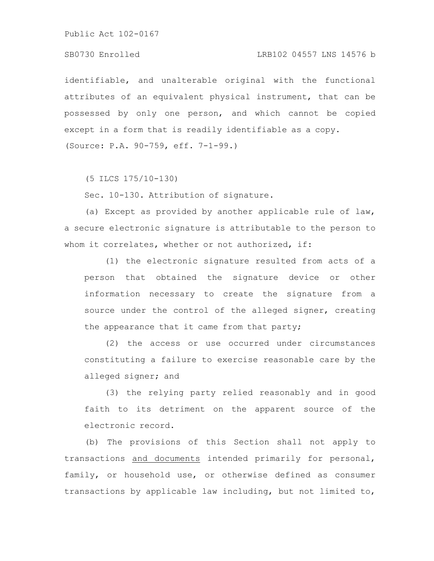# SB0730 Enrolled LRB102 04557 LNS 14576 b

identifiable, and unalterable original with the functional attributes of an equivalent physical instrument, that can be possessed by only one person, and which cannot be copied except in a form that is readily identifiable as a copy. (Source: P.A. 90-759, eff. 7-1-99.)

(5 ILCS 175/10-130)

Sec. 10-130. Attribution of signature.

(a) Except as provided by another applicable rule of law, a secure electronic signature is attributable to the person to whom it correlates, whether or not authorized, if:

(1) the electronic signature resulted from acts of a person that obtained the signature device or other information necessary to create the signature from a source under the control of the alleged signer, creating the appearance that it came from that party;

(2) the access or use occurred under circumstances constituting a failure to exercise reasonable care by the alleged signer; and

(3) the relying party relied reasonably and in good faith to its detriment on the apparent source of the electronic record.

(b) The provisions of this Section shall not apply to transactions and documents intended primarily for personal, family, or household use, or otherwise defined as consumer transactions by applicable law including, but not limited to,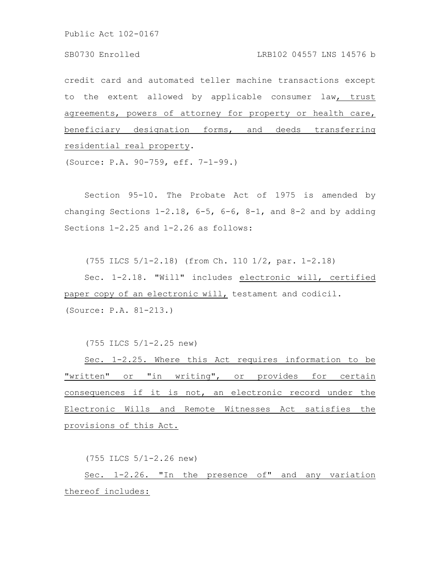credit card and automated teller machine transactions except to the extent allowed by applicable consumer law, trust agreements, powers of attorney for property or health care, beneficiary designation forms, and deeds transferring residential real property.

(Source: P.A. 90-759, eff. 7-1-99.)

Section 95-10. The Probate Act of 1975 is amended by changing Sections  $1-2.18$ ,  $6-5$ ,  $6-6$ ,  $8-1$ , and  $8-2$  and by adding Sections 1-2.25 and 1-2.26 as follows:

(755 ILCS 5/1-2.18) (from Ch. 110 1/2, par. 1-2.18)

Sec. 1-2.18. "Will" includes electronic will, certified paper copy of an electronic will, testament and codicil. (Source: P.A. 81-213.)

(755 ILCS 5/1-2.25 new)

Sec. 1-2.25. Where this Act requires information to be "written" or "in writing", or provides for certain consequences if it is not, an electronic record under the Electronic Wills and Remote Witnesses Act satisfies the provisions of this Act.

(755 ILCS 5/1-2.26 new)

Sec. 1-2.26. "In the presence of" and any variation thereof includes: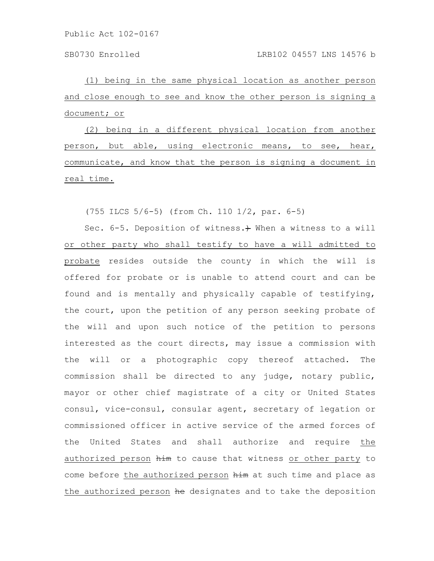SB0730 Enrolled LRB102 04557 LNS 14576 b

(1) being in the same physical location as another person and close enough to see and know the other person is signing a document; or

(2) being in a different physical location from another person, but able, using electronic means, to see, hear, communicate, and know that the person is signing a document in real time.

(755 ILCS 5/6-5) (from Ch. 110 1/2, par. 6-5)

Sec. 6-5. Deposition of witness. + When a witness to a will or other party who shall testify to have a will admitted to probate resides outside the county in which the will is offered for probate or is unable to attend court and can be found and is mentally and physically capable of testifying, the court, upon the petition of any person seeking probate of the will and upon such notice of the petition to persons interested as the court directs, may issue a commission with the will or a photographic copy thereof attached. The commission shall be directed to any judge, notary public, mayor or other chief magistrate of a city or United States consul, vice-consul, consular agent, secretary of legation or commissioned officer in active service of the armed forces of the United States and shall authorize and require the authorized person him to cause that witness or other party to come before the authorized person him at such time and place as the authorized person he designates and to take the deposition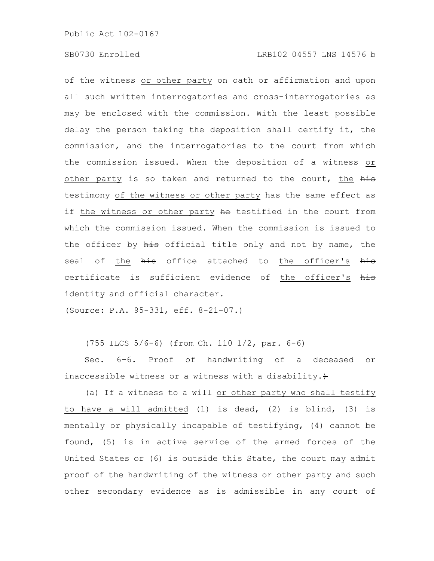of the witness or other party on oath or affirmation and upon all such written interrogatories and cross-interrogatories as may be enclosed with the commission. With the least possible delay the person taking the deposition shall certify it, the commission, and the interrogatories to the court from which the commission issued. When the deposition of a witness or other party is so taken and returned to the court, the his testimony of the witness or other party has the same effect as if the witness or other party he testified in the court from which the commission issued. When the commission is issued to the officer by his official title only and not by name, the seal of the his office attached to the officer's his certificate is sufficient evidence of the officer's his identity and official character.

(Source: P.A. 95-331, eff. 8-21-07.)

(755 ILCS 5/6-6) (from Ch. 110 1/2, par. 6-6)

Sec. 6-6. Proof of handwriting of a deceased or inaccessible witness or a witness with a disability. $+$ 

(a) If a witness to a will or other party who shall testify to have a will admitted (1) is dead, (2) is blind, (3) is mentally or physically incapable of testifying, (4) cannot be found, (5) is in active service of the armed forces of the United States or (6) is outside this State, the court may admit proof of the handwriting of the witness or other party and such other secondary evidence as is admissible in any court of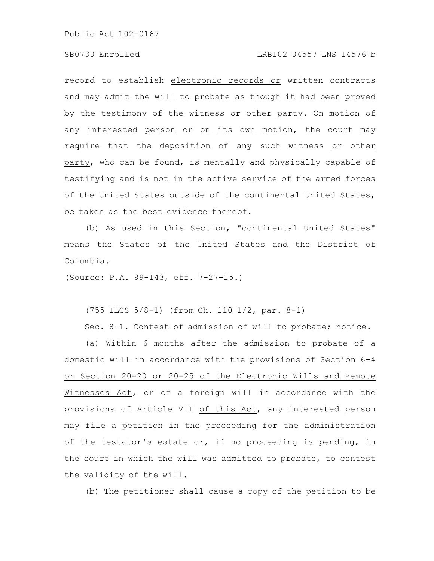# SB0730 Enrolled LRB102 04557 LNS 14576 b

record to establish electronic records or written contracts and may admit the will to probate as though it had been proved by the testimony of the witness or other party. On motion of any interested person or on its own motion, the court may require that the deposition of any such witness or other party, who can be found, is mentally and physically capable of testifying and is not in the active service of the armed forces of the United States outside of the continental United States, be taken as the best evidence thereof.

(b) As used in this Section, "continental United States" means the States of the United States and the District of Columbia.

(Source: P.A. 99-143, eff. 7-27-15.)

(755 ILCS 5/8-1) (from Ch. 110 1/2, par. 8-1)

Sec. 8-1. Contest of admission of will to probate; notice.

(a) Within 6 months after the admission to probate of a domestic will in accordance with the provisions of Section 6-4 or Section 20-20 or 20-25 of the Electronic Wills and Remote Witnesses Act, or of a foreign will in accordance with the provisions of Article VII of this Act, any interested person may file a petition in the proceeding for the administration of the testator's estate or, if no proceeding is pending, in the court in which the will was admitted to probate, to contest the validity of the will.

(b) The petitioner shall cause a copy of the petition to be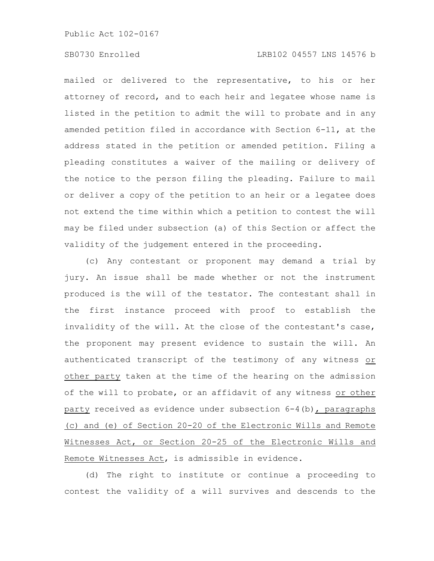# SB0730 Enrolled LRB102 04557 LNS 14576 b

mailed or delivered to the representative, to his or her attorney of record, and to each heir and legatee whose name is listed in the petition to admit the will to probate and in any amended petition filed in accordance with Section 6-11, at the address stated in the petition or amended petition. Filing a pleading constitutes a waiver of the mailing or delivery of the notice to the person filing the pleading. Failure to mail or deliver a copy of the petition to an heir or a legatee does not extend the time within which a petition to contest the will may be filed under subsection (a) of this Section or affect the validity of the judgement entered in the proceeding.

(c) Any contestant or proponent may demand a trial by jury. An issue shall be made whether or not the instrument produced is the will of the testator. The contestant shall in the first instance proceed with proof to establish the invalidity of the will. At the close of the contestant's case, the proponent may present evidence to sustain the will. An authenticated transcript of the testimony of any witness or other party taken at the time of the hearing on the admission of the will to probate, or an affidavit of any witness or other party received as evidence under subsection 6-4(b), paragraphs (c) and (e) of Section 20-20 of the Electronic Wills and Remote Witnesses Act, or Section 20-25 of the Electronic Wills and Remote Witnesses Act, is admissible in evidence.

(d) The right to institute or continue a proceeding to contest the validity of a will survives and descends to the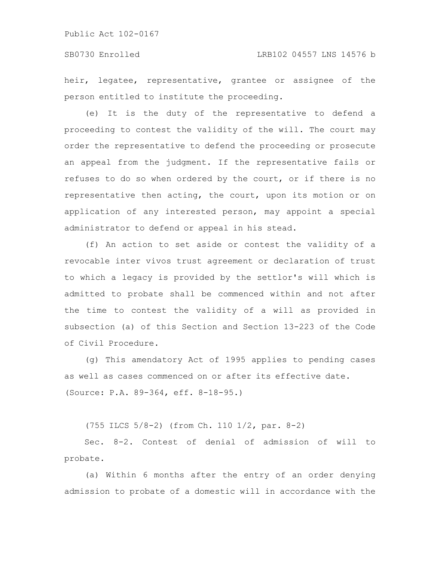heir, legatee, representative, grantee or assignee of the person entitled to institute the proceeding.

(e) It is the duty of the representative to defend a proceeding to contest the validity of the will. The court may order the representative to defend the proceeding or prosecute an appeal from the judgment. If the representative fails or refuses to do so when ordered by the court, or if there is no representative then acting, the court, upon its motion or on application of any interested person, may appoint a special administrator to defend or appeal in his stead.

(f) An action to set aside or contest the validity of a revocable inter vivos trust agreement or declaration of trust to which a legacy is provided by the settlor's will which is admitted to probate shall be commenced within and not after the time to contest the validity of a will as provided in subsection (a) of this Section and Section 13-223 of the Code of Civil Procedure.

(g) This amendatory Act of 1995 applies to pending cases as well as cases commenced on or after its effective date. (Source: P.A. 89-364, eff. 8-18-95.)

(755 ILCS 5/8-2) (from Ch. 110 1/2, par. 8-2)

Sec. 8-2. Contest of denial of admission of will to probate.

(a) Within 6 months after the entry of an order denying admission to probate of a domestic will in accordance with the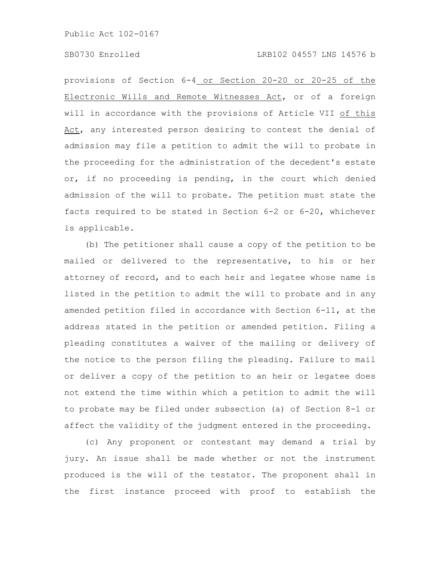provisions of Section 6-4 or Section 20-20 or 20-25 of the Electronic Wills and Remote Witnesses Act, or of a foreign will in accordance with the provisions of Article VII of this Act, any interested person desiring to contest the denial of admission may file a petition to admit the will to probate in the proceeding for the administration of the decedent's estate or, if no proceeding is pending, in the court which denied admission of the will to probate. The petition must state the facts required to be stated in Section 6-2 or 6-20, whichever is applicable.

(b) The petitioner shall cause a copy of the petition to be mailed or delivered to the representative, to his or her attorney of record, and to each heir and legatee whose name is listed in the petition to admit the will to probate and in any amended petition filed in accordance with Section 6-11, at the address stated in the petition or amended petition. Filing a pleading constitutes a waiver of the mailing or delivery of the notice to the person filing the pleading. Failure to mail or deliver a copy of the petition to an heir or legatee does not extend the time within which a petition to admit the will to probate may be filed under subsection (a) of Section 8-1 or affect the validity of the judgment entered in the proceeding.

(c) Any proponent or contestant may demand a trial by jury. An issue shall be made whether or not the instrument produced is the will of the testator. The proponent shall in the first instance proceed with proof to establish the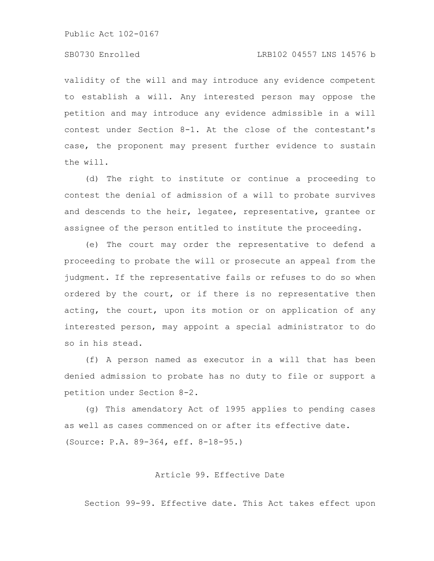# SB0730 Enrolled LRB102 04557 LNS 14576 b

validity of the will and may introduce any evidence competent to establish a will. Any interested person may oppose the petition and may introduce any evidence admissible in a will contest under Section 8-1. At the close of the contestant's case, the proponent may present further evidence to sustain the will.

(d) The right to institute or continue a proceeding to contest the denial of admission of a will to probate survives and descends to the heir, legatee, representative, grantee or assignee of the person entitled to institute the proceeding.

(e) The court may order the representative to defend a proceeding to probate the will or prosecute an appeal from the judgment. If the representative fails or refuses to do so when ordered by the court, or if there is no representative then acting, the court, upon its motion or on application of any interested person, may appoint a special administrator to do so in his stead.

(f) A person named as executor in a will that has been denied admission to probate has no duty to file or support a petition under Section 8-2.

(g) This amendatory Act of 1995 applies to pending cases as well as cases commenced on or after its effective date. (Source: P.A. 89-364, eff. 8-18-95.)

Article 99. Effective Date

Section 99-99. Effective date. This Act takes effect upon